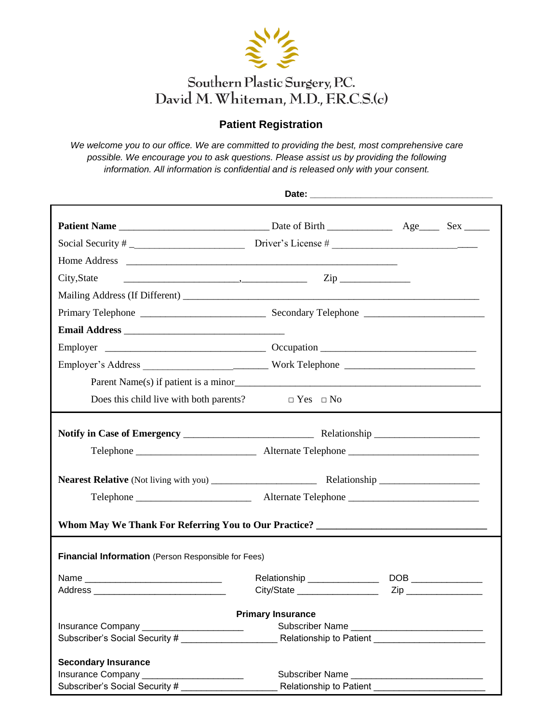

## **Patient Registration**

*We welcome you to our office. We are committed to providing the best, most comprehensive care possible. We encourage you to ask questions. Please assist us by providing the following information. All information is confidential and is released only with your consent.*

| City, State                                                                                 | $\overline{\phantom{a}}$ $\overline{\phantom{a}}$ $\overline{\phantom{a}}$ $\overline{\phantom{a}}$ $\overline{\phantom{a}}$ $\overline{\phantom{a}}$ $\overline{\phantom{a}}$ $\overline{\phantom{a}}$ $\overline{\phantom{a}}$ $\overline{\phantom{a}}$ $\overline{\phantom{a}}$ $\overline{\phantom{a}}$ $\overline{\phantom{a}}$ $\overline{\phantom{a}}$ $\overline{\phantom{a}}$ $\overline{\phantom{a}}$ $\overline{\phantom{a}}$ $\overline{\phantom{a}}$ $\overline{\$ |  |  |  |  |  |  |  |  |
|---------------------------------------------------------------------------------------------|---------------------------------------------------------------------------------------------------------------------------------------------------------------------------------------------------------------------------------------------------------------------------------------------------------------------------------------------------------------------------------------------------------------------------------------------------------------------------------|--|--|--|--|--|--|--|--|
|                                                                                             |                                                                                                                                                                                                                                                                                                                                                                                                                                                                                 |  |  |  |  |  |  |  |  |
|                                                                                             |                                                                                                                                                                                                                                                                                                                                                                                                                                                                                 |  |  |  |  |  |  |  |  |
|                                                                                             |                                                                                                                                                                                                                                                                                                                                                                                                                                                                                 |  |  |  |  |  |  |  |  |
|                                                                                             |                                                                                                                                                                                                                                                                                                                                                                                                                                                                                 |  |  |  |  |  |  |  |  |
|                                                                                             |                                                                                                                                                                                                                                                                                                                                                                                                                                                                                 |  |  |  |  |  |  |  |  |
|                                                                                             |                                                                                                                                                                                                                                                                                                                                                                                                                                                                                 |  |  |  |  |  |  |  |  |
| Does this child live with both parents? $\square$ Yes $\square$ No                          |                                                                                                                                                                                                                                                                                                                                                                                                                                                                                 |  |  |  |  |  |  |  |  |
|                                                                                             |                                                                                                                                                                                                                                                                                                                                                                                                                                                                                 |  |  |  |  |  |  |  |  |
|                                                                                             |                                                                                                                                                                                                                                                                                                                                                                                                                                                                                 |  |  |  |  |  |  |  |  |
|                                                                                             |                                                                                                                                                                                                                                                                                                                                                                                                                                                                                 |  |  |  |  |  |  |  |  |
|                                                                                             |                                                                                                                                                                                                                                                                                                                                                                                                                                                                                 |  |  |  |  |  |  |  |  |
| Whom May We Thank For Referring You to Our Practice? ____________________________           |                                                                                                                                                                                                                                                                                                                                                                                                                                                                                 |  |  |  |  |  |  |  |  |
| <b>Financial Information</b> (Person Responsible for Fees)                                  |                                                                                                                                                                                                                                                                                                                                                                                                                                                                                 |  |  |  |  |  |  |  |  |
|                                                                                             | Relationship _______________                                                                                                                                                                                                                                                                                                                                                                                                                                                    |  |  |  |  |  |  |  |  |
|                                                                                             |                                                                                                                                                                                                                                                                                                                                                                                                                                                                                 |  |  |  |  |  |  |  |  |
|                                                                                             | <b>Primary Insurance</b>                                                                                                                                                                                                                                                                                                                                                                                                                                                        |  |  |  |  |  |  |  |  |
| Insurance Company __________________________                                                |                                                                                                                                                                                                                                                                                                                                                                                                                                                                                 |  |  |  |  |  |  |  |  |
|                                                                                             | Subscriber's Social Security #                                                                                                                                                                                                                                                                                                                                                                                                                                                  |  |  |  |  |  |  |  |  |
| <b>Secondary Insurance</b>                                                                  |                                                                                                                                                                                                                                                                                                                                                                                                                                                                                 |  |  |  |  |  |  |  |  |
| Insurance Company ______________________<br>Subscriber Name _______________________________ |                                                                                                                                                                                                                                                                                                                                                                                                                                                                                 |  |  |  |  |  |  |  |  |
| Subscriber's Social Security #<br>Relationship to Patient                                   |                                                                                                                                                                                                                                                                                                                                                                                                                                                                                 |  |  |  |  |  |  |  |  |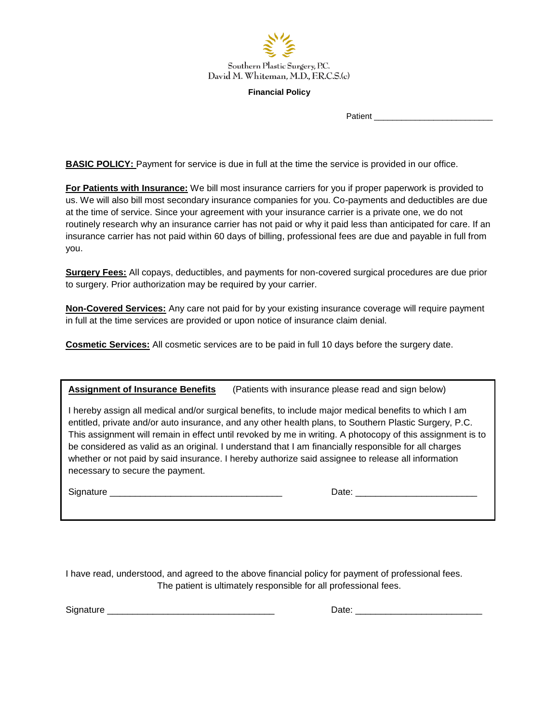

## **Financial Policy**

Patient

**BASIC POLICY:** Payment for service is due in full at the time the service is provided in our office.

**For Patients with Insurance:** We bill most insurance carriers for you if proper paperwork is provided to us. We will also bill most secondary insurance companies for you. Co-payments and deductibles are due at the time of service. Since your agreement with your insurance carrier is a private one, we do not routinely research why an insurance carrier has not paid or why it paid less than anticipated for care. If an insurance carrier has not paid within 60 days of billing, professional fees are due and payable in full from you.

**Surgery Fees:** All copays, deductibles, and payments for non-covered surgical procedures are due prior to surgery. Prior authorization may be required by your carrier.

**Non-Covered Services:** Any care not paid for by your existing insurance coverage will require payment in full at the time services are provided or upon notice of insurance claim denial.

**Cosmetic Services:** All cosmetic services are to be paid in full 10 days before the surgery date.

| <b>Assignment of Insurance Benefits</b><br>(Patients with insurance please read and sign below) |
|-------------------------------------------------------------------------------------------------|
|-------------------------------------------------------------------------------------------------|

I hereby assign all medical and/or surgical benefits, to include major medical benefits to which I am entitled, private and/or auto insurance, and any other health plans, to Southern Plastic Surgery, P.C. This assignment will remain in effect until revoked by me in writing. A photocopy of this assignment is to be considered as valid as an original. I understand that I am financially responsible for all charges whether or not paid by said insurance. I hereby authorize said assignee to release all information necessary to secure the payment.

Signature \_\_\_\_\_\_\_\_\_\_\_\_\_\_\_\_\_\_\_\_\_\_\_\_\_\_\_\_\_\_\_\_\_\_ Date: \_\_\_\_\_\_\_\_\_\_\_\_\_\_\_\_\_\_\_\_\_\_\_\_

I have read, understood, and agreed to the above financial policy for payment of professional fees. The patient is ultimately responsible for all professional fees.

Signature **Example 2** and the set of the set of the set of the set of the set of the set of the set of the set of the set of the set of the set of the set of the set of the set of the set of the set of the set of the set o